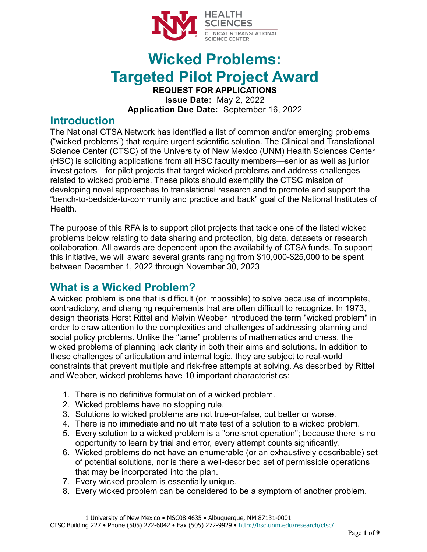

# **Wicked Problems: Targeted Pilot Project Award REQUEST FOR APPLICATIONS**

**Issue Date:** May 2, 2022 **Application Due Date:** September 16, 2022

#### **Introduction**

The National CTSA Network has identified a list of common and/or emerging problems ("wicked problems") that require urgent scientific solution. The Clinical and Translational Science Center (CTSC) of the University of New Mexico (UNM) Health Sciences Center (HSC) is soliciting applications from all HSC faculty members—senior as well as junior investigators—for pilot projects that target wicked problems and address challenges related to wicked problems. These pilots should exemplify the CTSC mission of developing novel approaches to translational research and to promote and support the "bench-to-bedside-to-community and practice and back" goal of the National Institutes of **Health** 

The purpose of this RFA is to support pilot projects that tackle one of the listed wicked problems below relating to data sharing and protection, big data, datasets or research collaboration. All awards are dependent upon the availability of CTSA funds. To support this initiative, we will award several grants ranging from \$10,000-\$25,000 to be spent between December 1, 2022 through November 30, 2023

### **What is a Wicked Problem?**

A wicked problem is one that is difficult (or impossible) to solve because of incomplete, contradictory, and changing requirements that are often difficult to recognize. In 1973, design theorists Horst Rittel and Melvin Webber introduced the term "wicked problem" in order to draw attention to the complexities and challenges of addressing planning and social policy problems. Unlike the "tame" problems of mathematics and chess, the wicked problems of planning lack clarity in both their aims and solutions. In addition to these challenges of articulation and internal logic, they are subject to real-world constraints that prevent multiple and risk-free attempts at solving. As described by Rittel and Webber, wicked problems have 10 important characteristics:

- 1. There is no definitive formulation of a wicked problem.
- 2. Wicked problems have no stopping rule.
- 3. Solutions to wicked problems are not true-or-false, but better or worse.
- 4. There is no immediate and no ultimate test of a solution to a wicked problem.
- 5. Every solution to a wicked problem is a "one-shot operation"; because there is no opportunity to learn by trial and error, every attempt counts significantly.
- 6. Wicked problems do not have an enumerable (or an exhaustively describable) set of potential solutions, nor is there a well-described set of permissible operations that may be incorporated into the plan.
- 7. Every wicked problem is essentially unique.
- 8. Every wicked problem can be considered to be a symptom of another problem.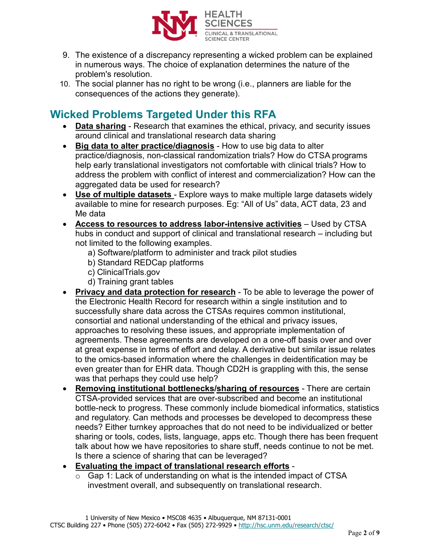

- 9. The existence of a discrepancy representing a wicked problem can be explained in numerous ways. The choice of explanation determines the nature of the problem's resolution.
- 10. The social planner has no right to be wrong (i.e., planners are liable for the consequences of the actions they generate).

## **Wicked Problems Targeted Under this RFA**

- **Data sharing** Research that examines the ethical, privacy, and security issues around clinical and translational research data sharing
- **Big data to alter practice/diagnosis** How to use big data to alter practice/diagnosis, non-classical randomization trials? How do CTSA programs help early translational investigators not comfortable with clinical trials? How to address the problem with conflict of interest and commercialization? How can the aggregated data be used for research?
- **Use of multiple datasets** Explore ways to make multiple large datasets widely available to mine for research purposes. Eg: "All of Us" data, ACT data, 23 and Me data
- **Access to resources to address labor-intensive activities** Used by CTSA hubs in conduct and support of clinical and translational research – including but not limited to the following examples.
	- a) Software/platform to administer and track pilot studies
	- b) Standard REDCap platforms
	- c) ClinicalTrials.gov
	- d) Training grant tables
- **Privacy and data protection for research** To be able to leverage the power of the Electronic Health Record for research within a single institution and to successfully share data across the CTSAs requires common institutional, consortial and national understanding of the ethical and privacy issues, approaches to resolving these issues, and appropriate implementation of agreements. These agreements are developed on a one-off basis over and over at great expense in terms of effort and delay. A derivative but similar issue relates to the omics-based information where the challenges in deidentification may be even greater than for EHR data. Though CD2H is grappling with this, the sense was that perhaps they could use help?
- **Removing institutional bottlenecks/sharing of resources** There are certain CTSA-provided services that are over-subscribed and become an institutional bottle-neck to progress. These commonly include biomedical informatics, statistics and regulatory. Can methods and processes be developed to decompress these needs? Either turnkey approaches that do not need to be individualized or better sharing or tools, codes, lists, language, apps etc. Though there has been frequent talk about how we have repositories to share stuff, needs continue to not be met. Is there a science of sharing that can be leveraged?
- **Evaluating the impact of translational research efforts**
	- $\circ$  Gap 1: Lack of understanding on what is the intended impact of CTSA investment overall, and subsequently on translational research.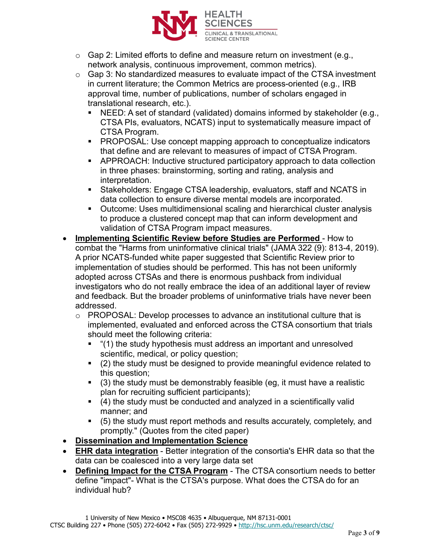

- o Gap 2: Limited efforts to define and measure return on investment (e.g., network analysis, continuous improvement, common metrics).
- $\circ$  Gap 3: No standardized measures to evaluate impact of the CTSA investment in current literature; the Common Metrics are process-oriented (e.g., IRB approval time, number of publications, number of scholars engaged in translational research, etc.).
	- NEED: A set of standard (validated) domains informed by stakeholder (e.g., CTSA PIs, evaluators, NCATS) input to systematically measure impact of CTSA Program.
	- **PROPOSAL: Use concept mapping approach to conceptualize indicators** that define and are relevant to measures of impact of CTSA Program.
	- APPROACH: Inductive structured participatory approach to data collection in three phases: brainstorming, sorting and rating, analysis and interpretation.
	- Stakeholders: Engage CTSA leadership, evaluators, staff and NCATS in data collection to ensure diverse mental models are incorporated.
	- Outcome: Uses multidimensional scaling and hierarchical cluster analysis to produce a clustered concept map that can inform development and validation of CTSA Program impact measures.
- **Implementing Scientific Review before Studies are Performed** How to combat the "Harms from uninformative clinical trials" (JAMA 322 (9): 813-4, 2019). A prior NCATS-funded white paper suggested that Scientific Review prior to implementation of studies should be performed. This has not been uniformly adopted across CTSAs and there is enormous pushback from individual investigators who do not really embrace the idea of an additional layer of review and feedback. But the broader problems of uninformative trials have never been addressed.
	- o PROPOSAL: Develop processes to advance an institutional culture that is implemented, evaluated and enforced across the CTSA consortium that trials should meet the following criteria:
		- "(1) the study hypothesis must address an important and unresolved scientific, medical, or policy question;
		- (2) the study must be designed to provide meaningful evidence related to this question;
		- $(3)$  the study must be demonstrably feasible (eg, it must have a realistic plan for recruiting sufficient participants);
		- (4) the study must be conducted and analyzed in a scientifically valid manner; and
		- (5) the study must report methods and results accurately, completely, and promptly." (Quotes from the cited paper)
- **Dissemination and Implementation Science**
- **EHR data integration** Better integration of the consortia's EHR data so that the data can be coalesced into a very large data set
- **Defining Impact for the CTSA Program** The CTSA consortium needs to better define "impact"- What is the CTSA's purpose. What does the CTSA do for an individual hub?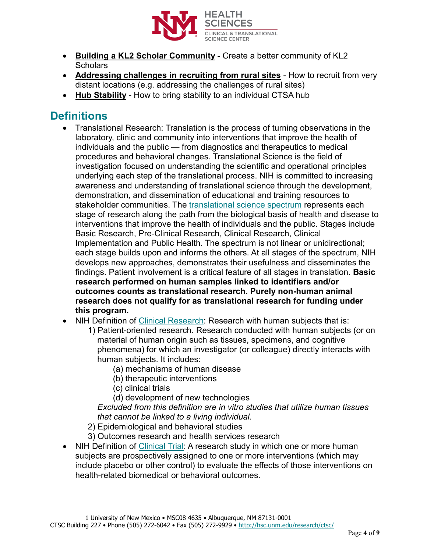

- **Building a KL2 Scholar Community** Create a better community of KL2 **Scholars**
- **Addressing challenges in recruiting from rural sites** How to recruit from very distant locations (e.g. addressing the challenges of rural sites)
- **Hub Stability** How to bring stability to an individual CTSA hub

### **Definitions**

- Translational Research: Translation is the process of turning observations in the laboratory, clinic and community into interventions that improve the health of individuals and the public — from diagnostics and therapeutics to medical procedures and behavioral changes. Translational Science is the field of investigation focused on understanding the scientific and operational principles underlying each step of the translational process. NIH is committed to increasing awareness and understanding of translational science through the development, demonstration, and dissemination of educational and training resources to stakeholder communities. The [translational science spectrum](https://ncats.nih.gov/translation/spectrum) represents each stage of research along the path from the biological basis of health and disease to interventions that improve the health of individuals and the public. Stages include Basic Research, Pre-Clinical Research, Clinical Research, Clinical Implementation and Public Health. The spectrum is not linear or unidirectional; each stage builds upon and informs the others. At all stages of the spectrum, NIH develops new approaches, demonstrates their usefulness and disseminates the findings. Patient involvement is a critical feature of all stages in translation. **Basic research performed on human samples linked to identifiers and/or outcomes counts as translational research. Purely non-human animal research does not qualify for as translational research for funding under this program.**
- NIH Definition of [Clinical Research:](https://grants.nih.gov/grants/glossary.htm#C) Research with human subjects that is:
	- 1) Patient-oriented research. Research conducted with human subjects (or on material of human origin such as tissues, specimens, and cognitive phenomena) for which an investigator (or colleague) directly interacts with human subjects. It includes:
		- (a) mechanisms of human disease
		- (b) therapeutic interventions
		- (c) clinical trials
		- (d) development of new technologies

*Excluded from this definition are in vitro studies that utilize human tissues that cannot be linked to a living individual.*

- 2) Epidemiological and behavioral studies
- 3) Outcomes research and health services research
- NIH Definition of [Clinical Trial:](https://grants.nih.gov/policy/clinical-trials/definition.htm) A research study in which one or more human subjects are prospectively assigned to one or more interventions (which may include placebo or other control) to evaluate the effects of those interventions on health-related biomedical or behavioral outcomes.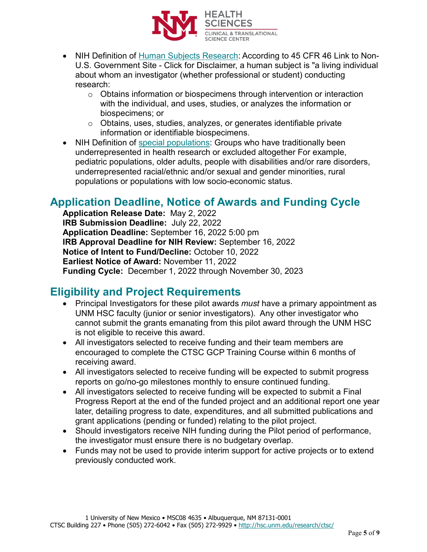

- NIH Definition of [Human Subjects Research:](https://grants.nih.gov/policy/humansubjects/research.htm) According to 45 CFR 46 Link to Non-U.S. Government Site - Click for Disclaimer, a human subject is "a living individual about whom an investigator (whether professional or student) conducting research:
	- $\circ$  Obtains information or biospecimens through intervention or interaction with the individual, and uses, studies, or analyzes the information or biospecimens; or
	- o Obtains, uses, studies, analyzes, or generates identifiable private information or identifiable biospecimens.
- NIH Definition of [special populations:](https://grants.nih.gov/grants/guide/notice-files/NOT-OD-20-031.html) Groups who have traditionally been underrepresented in health research or excluded altogether For example, pediatric populations, older adults, people with disabilities and/or rare disorders, underrepresented racial/ethnic and/or sexual and gender minorities, rural populations or populations with low socio-economic status.

### **Application Deadline, Notice of Awards and Funding Cycle**

**Application Release Date:** May 2, 2022 **IRB Submission Deadline:** July 22, 2022 **Application Deadline:** September 16, 2022 5:00 pm **IRB Approval Deadline for NIH Review:** September 16, 2022 **Notice of Intent to Fund/Decline:** October 10, 2022 **Earliest Notice of Award:** November 11, 2022 **Funding Cycle:** December 1, 2022 through November 30, 2023

### **Eligibility and Project Requirements**

- Principal Investigators for these pilot awards *must* have a primary appointment as UNM HSC faculty (junior or senior investigators). Any other investigator who cannot submit the grants emanating from this pilot award through the UNM HSC is not eligible to receive this award.
- All investigators selected to receive funding and their team members are encouraged to complete the CTSC GCP Training Course within 6 months of receiving award.
- All investigators selected to receive funding will be expected to submit progress reports on go/no-go milestones monthly to ensure continued funding.
- All investigators selected to receive funding will be expected to submit a Final Progress Report at the end of the funded project and an additional report one year later, detailing progress to date, expenditures, and all submitted publications and grant applications (pending or funded) relating to the pilot project.
- Should investigators receive NIH funding during the Pilot period of performance, the investigator must ensure there is no budgetary overlap.
- Funds may not be used to provide interim support for active projects or to extend previously conducted work.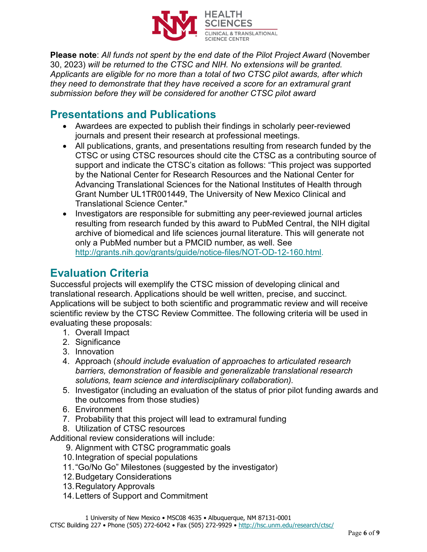

**Please note**: *All funds not spent by the end date of the Pilot Project Award* (November 30, 2023) *will be returned to the CTSC and NIH. No extensions will be granted. Applicants are eligible for no more than a total of two CTSC pilot awards, after which they need to demonstrate that they have received a score for an extramural grant submission before they will be considered for another CTSC pilot award*

#### **Presentations and Publications**

- Awardees are expected to publish their findings in scholarly peer-reviewed journals and present their research at professional meetings.
- All publications, grants, and presentations resulting from research funded by the CTSC or using CTSC resources should cite the CTSC as a contributing source of support and indicate the CTSC's citation as follows: "This project was supported by the National Center for Research Resources and the National Center for Advancing Translational Sciences for the National Institutes of Health through Grant Number UL1TR001449, The University of New Mexico Clinical and Translational Science Center."
- Investigators are responsible for submitting any peer-reviewed journal articles resulting from research funded by this award to PubMed Central, the NIH digital archive of biomedical and life sciences journal literature. This will generate not only a PubMed number but a PMCID number, as well. See [http://grants.nih.gov/grants/guide/notice-files/NOT-OD-12-160.html.](http://grants.nih.gov/grants/guide/notice-files/NOT-OD-12-160.html)

## **Evaluation Criteria**

Successful projects will exemplify the CTSC mission of developing clinical and translational research. Applications should be well written, precise, and succinct. Applications will be subject to both scientific and programmatic review and will receive scientific review by the CTSC Review Committee. The following criteria will be used in evaluating these proposals:

- 1. Overall Impact
- 2. Significance
- 3. Innovation
- 4. Approach (*should include evaluation of approaches to articulated research barriers, demonstration of feasible and generalizable translational research solutions, team science and interdisciplinary collaboration).*
- 5. Investigator (including an evaluation of the status of prior pilot funding awards and the outcomes from those studies)
- 6. Environment
- 7. Probability that this project will lead to extramural funding
- 8. Utilization of CTSC resources

Additional review considerations will include:

- 9. Alignment with CTSC programmatic goals
- 10.Integration of special populations
- 11. "Go/No Go" Milestones (suggested by the investigator)
- 12.Budgetary Considerations
- 13.Regulatory Approvals
- 14.Letters of Support and Commitment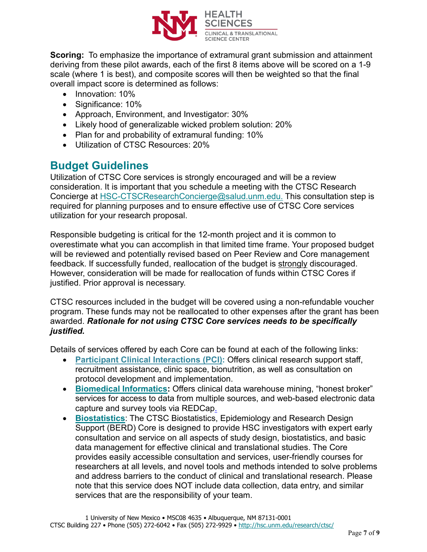

**Scoring:** To emphasize the importance of extramural grant submission and attainment deriving from these pilot awards, each of the first 8 items above will be scored on a 1-9 scale (where 1 is best), and composite scores will then be weighted so that the final overall impact score is determined as follows:

- Innovation: 10%
- Significance: 10%
- Approach, Environment, and Investigator: 30%
- Likely hood of generalizable wicked problem solution: 20%
- Plan for and probability of extramural funding: 10%
- Utilization of CTSC Resources: 20%

#### **Budget Guidelines**

Utilization of CTSC Core services is strongly encouraged and will be a review consideration. It is important that you schedule a meeting with the CTSC Research Concierge at [HSC-CTSCResearchConcierge@salud.unm.edu.](mailto:HSC-CTSCResearchConcierge@salud.unm.edu) This consultation step is required for planning purposes and to ensure effective use of CTSC Core services utilization for your research proposal.

Responsible budgeting is critical for the 12-month project and it is common to overestimate what you can accomplish in that limited time frame. Your proposed budget will be reviewed and potentially revised based on Peer Review and Core management feedback. If successfully funded, reallocation of the budget is strongly discouraged. However, consideration will be made for reallocation of funds within CTSC Cores if justified. Prior approval is necessary.

CTSC resources included in the budget will be covered using a non-refundable voucher program. These funds may not be reallocated to other expenses after the grant has been awarded. *Rationale for not using CTSC Core services needs to be specifically justified.*

Details of services offered by each Core can be found at each of the following links:

- **[Participant Clinical Interactions \(PCI\):](https://hsc.unm.edu/ctsc/services/participant-clinical-interactions/)** Offers clinical research support staff, recruitment assistance, clinic space, bionutrition, as well as consultation on protocol development and implementation.
- **[Biomedical Informatics:](http://hsc.unm.edu/research/ctsc/informatics/index.html)** Offers clinical data warehouse mining, "honest broker" services for access to data from multiple sources, and web-based electronic data capture and survey tools via REDCap.
- **[Biostatistics](http://hsc.unm.edu/research/ctsc/biostatistics/index.html)**: The CTSC Biostatistics, Epidemiology and Research Design Support (BERD) Core is designed to provide HSC investigators with expert early consultation and service on all aspects of study design, biostatistics, and basic data management for effective clinical and translational studies. The Core provides easily accessible consultation and services, user-friendly courses for researchers at all levels, and novel tools and methods intended to solve problems and address barriers to the conduct of clinical and translational research. Please note that this service does NOT include data collection, data entry, and similar services that are the responsibility of your team.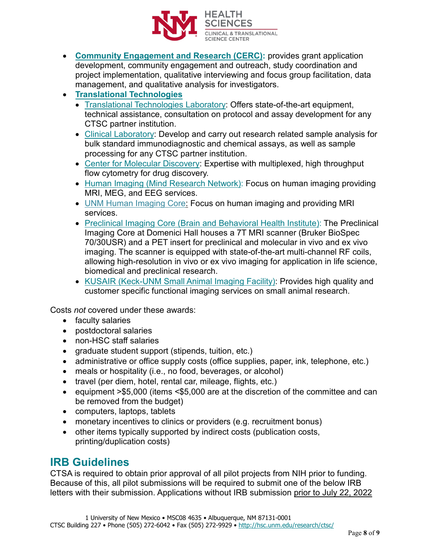

- **[Community Engagement and Research \(CERC\):](https://hsc.unm.edu/ctsc/services/cerc/)** provides grant application development, community engagement and outreach, study coordination and project implementation, qualitative interviewing and focus group facilitation, data management, and qualitative analysis for investigators.
- **[Translational Technologies](http://hsc.unm.edu/research/ctsc/translational-and-clinical-laboratories/index.html)**
	- [Translational Technologies Laboratory:](http://hsc.unm.edu/research/ctsc/translational-and-clinical-laboratories/translational-laboratory/index.html) Offers state-of-the-art equipment, technical assistance, consultation on protocol and assay development for any CTSC partner institution.
	- [Clinical Laboratory:](http://hsc.unm.edu/research/ctsc/translational-and-clinical-laboratories/clinical-laboratory/index.html) Develop and carry out research related sample analysis for bulk standard immunodiagnostic and chemical assays, as well as sample processing for any CTSC partner institution.
	- [Center for Molecular Discovery:](http://nmmlsc.health.unm.edu/) Expertise with multiplexed, high throughput flow cytometry for drug discovery.
	- [Human Imaging \(Mind Research Network\):](https://www.mrn.org/collaborate/imaging-services-and-capabilities) Focus on human imaging providing MRI, MEG, and EEG services.
	- [UNM Human Imaging Core:](https://hsc.unm.edu/research/hirc/index.html) Focus on human imaging and providing MRI services.
	- [Preclinical Imaging Core \(Brain and Behavioral Health Institute\):](https://hsc.unm.edu/research/centers-programs/bbhi/bbhi-research-programs/bbhi-preclinical-core.html) The Preclinical Imaging Core at Domenici Hall houses a 7T MRI scanner (Bruker BioSpec 70/30USR) and a PET insert for preclinical and molecular in vivo and ex vivo imaging. The scanner is equipped with state-of-the-art multi-channel RF coils, allowing high-resolution in vivo or ex vivo imaging for application in life science, biomedical and preclinical research.
	- [KUSAIR \(Keck-UNM Small Animal Imaging Facility\):](http://kusair.unm.edu/) Provides high quality and customer specific functional imaging services on small animal research.

Costs *not* covered under these awards:

- faculty salaries
- postdoctoral salaries
- non-HSC staff salaries
- graduate student support (stipends, tuition, etc.)
- administrative or office supply costs (office supplies, paper, ink, telephone, etc.)
- meals or hospitality (i.e., no food, beverages, or alcohol)
- travel (per diem, hotel, rental car, mileage, flights, etc.)
- equipment >\$5,000 (items <\$5,000 are at the discretion of the committee and can be removed from the budget)
- computers, laptops, tablets
- monetary incentives to clinics or providers (e.g. recruitment bonus)
- other items typically supported by indirect costs (publication costs, printing/duplication costs)

#### **IRB Guidelines**

CTSA is required to obtain prior approval of all pilot projects from NIH prior to funding. Because of this, all pilot submissions will be required to submit one of the below IRB letters with their submission. Applications without IRB submission prior to July 22, 2022